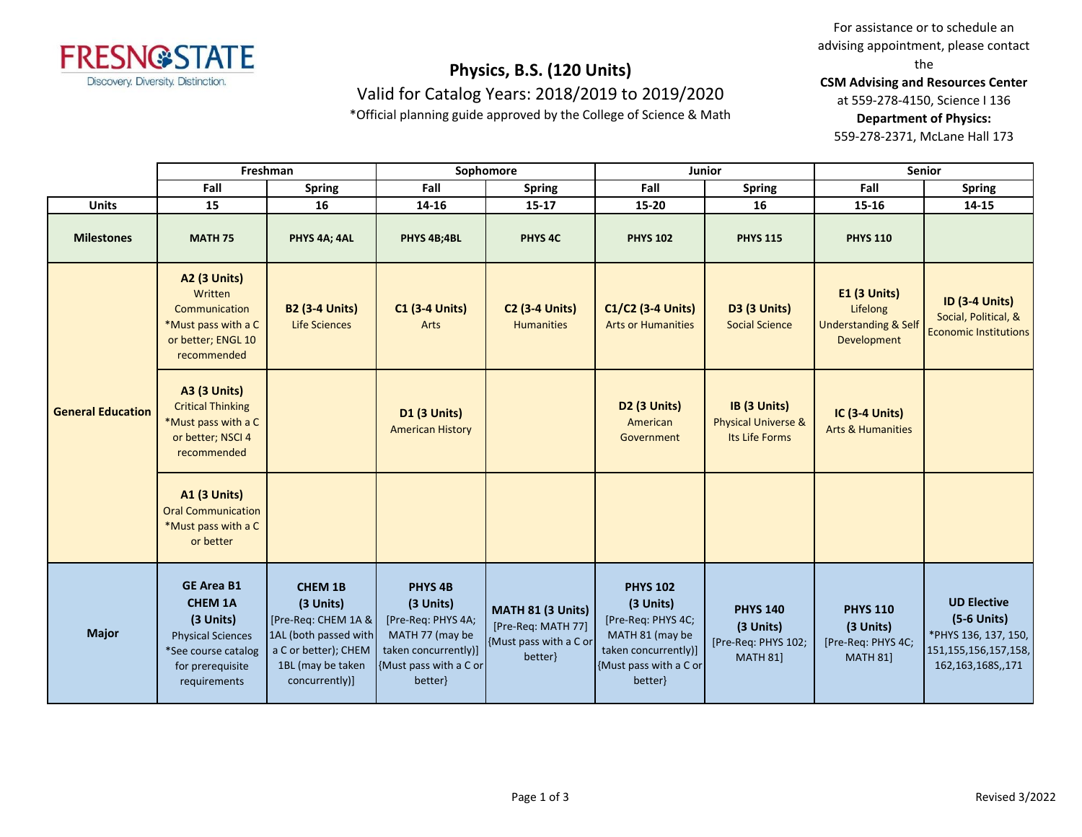

Valid for Catalog Years: 2018/2019 to 2019/2020

\*Official planning guide approved by the College of Science & Math

For assistance or to schedule an advising appointment, please contact the

**CSM Advising and Resources Center**

at 559-278-4150, Science I 136

**Department of Physics:**

559-278-2371, McLane Hall 173

|                          |                                                                                                                                         | Freshman                                                                                                                                   |                                                                                                                                       | Sophomore                                                                   | Junior                                                                                                                             |                                                                        | <b>Senior</b>                                                                     |                                                                                                              |
|--------------------------|-----------------------------------------------------------------------------------------------------------------------------------------|--------------------------------------------------------------------------------------------------------------------------------------------|---------------------------------------------------------------------------------------------------------------------------------------|-----------------------------------------------------------------------------|------------------------------------------------------------------------------------------------------------------------------------|------------------------------------------------------------------------|-----------------------------------------------------------------------------------|--------------------------------------------------------------------------------------------------------------|
|                          | Fall                                                                                                                                    | <b>Spring</b>                                                                                                                              | Fall                                                                                                                                  | <b>Spring</b>                                                               | Fall                                                                                                                               | <b>Spring</b>                                                          | Fall                                                                              | <b>Spring</b>                                                                                                |
| <b>Units</b>             | 15                                                                                                                                      | 16                                                                                                                                         | 14-16                                                                                                                                 | $15 - 17$                                                                   | 15-20                                                                                                                              | 16                                                                     | 15-16                                                                             | 14-15                                                                                                        |
| <b>Milestones</b>        | <b>MATH 75</b>                                                                                                                          | PHYS 4A; 4AL                                                                                                                               | PHYS 4B;4BL                                                                                                                           | PHYS <sub>4C</sub>                                                          | <b>PHYS 102</b>                                                                                                                    | <b>PHYS 115</b>                                                        | <b>PHYS 110</b>                                                                   |                                                                                                              |
| <b>General Education</b> | <b>A2 (3 Units)</b><br>Written<br>Communication<br>*Must pass with a C<br>or better; ENGL 10<br>recommended                             | <b>B2 (3-4 Units)</b><br><b>Life Sciences</b>                                                                                              | <b>C1 (3-4 Units)</b><br>Arts                                                                                                         | <b>C2 (3-4 Units)</b><br><b>Humanities</b>                                  | C1/C2 (3-4 Units)<br><b>Arts or Humanities</b>                                                                                     | <b>D3 (3 Units)</b><br><b>Social Science</b>                           | <b>E1 (3 Units)</b><br>Lifelong<br><b>Understanding &amp; Self</b><br>Development | <b>ID (3-4 Units)</b><br>Social, Political, &<br><b>Economic Institutions</b>                                |
|                          | <b>A3 (3 Units)</b><br><b>Critical Thinking</b><br>*Must pass with a C<br>or better; NSCI 4<br>recommended                              |                                                                                                                                            | <b>D1 (3 Units)</b><br><b>American History</b>                                                                                        |                                                                             | <b>D2 (3 Units)</b><br>American<br>Government                                                                                      | IB (3 Units)<br><b>Physical Universe &amp;</b><br>Its Life Forms       | <b>IC (3-4 Units)</b><br><b>Arts &amp; Humanities</b>                             |                                                                                                              |
|                          | <b>A1 (3 Units)</b><br><b>Oral Communication</b><br>*Must pass with a C<br>or better                                                    |                                                                                                                                            |                                                                                                                                       |                                                                             |                                                                                                                                    |                                                                        |                                                                                   |                                                                                                              |
| <b>Major</b>             | <b>GE Area B1</b><br><b>CHEM 1A</b><br>(3 Units)<br><b>Physical Sciences</b><br>*See course catalog<br>for prerequisite<br>requirements | <b>CHEM 1B</b><br>(3 Units)<br>[Pre-Req: CHEM 1A &<br>1AL (both passed with<br>a C or better); CHEM<br>1BL (may be taken<br>concurrently)] | PHYS <sub>4B</sub><br>(3 Units)<br>[Pre-Req: PHYS 4A;<br>MATH 77 (may be<br>taken concurrently)]<br>{Must pass with a C or<br>better} | MATH 81 (3 Units)<br>[Pre-Req: MATH 77]<br>Must pass with a C or<br>better} | <b>PHYS 102</b><br>(3 Units)<br>[Pre-Req: PHYS 4C;<br>MATH 81 (may be<br>taken concurrently)]<br>{Must pass with a C or<br>better} | <b>PHYS 140</b><br>(3 Units)<br>[Pre-Req: PHYS 102;<br><b>MATH 81]</b> | <b>PHYS 110</b><br>(3 Units)<br>[Pre-Req: PHYS 4C;<br><b>MATH 81]</b>             | <b>UD Elective</b><br>$(5-6$ Units)<br>*PHYS 136, 137, 150,<br>151, 155, 156, 157, 158,<br>162,163,168S,,171 |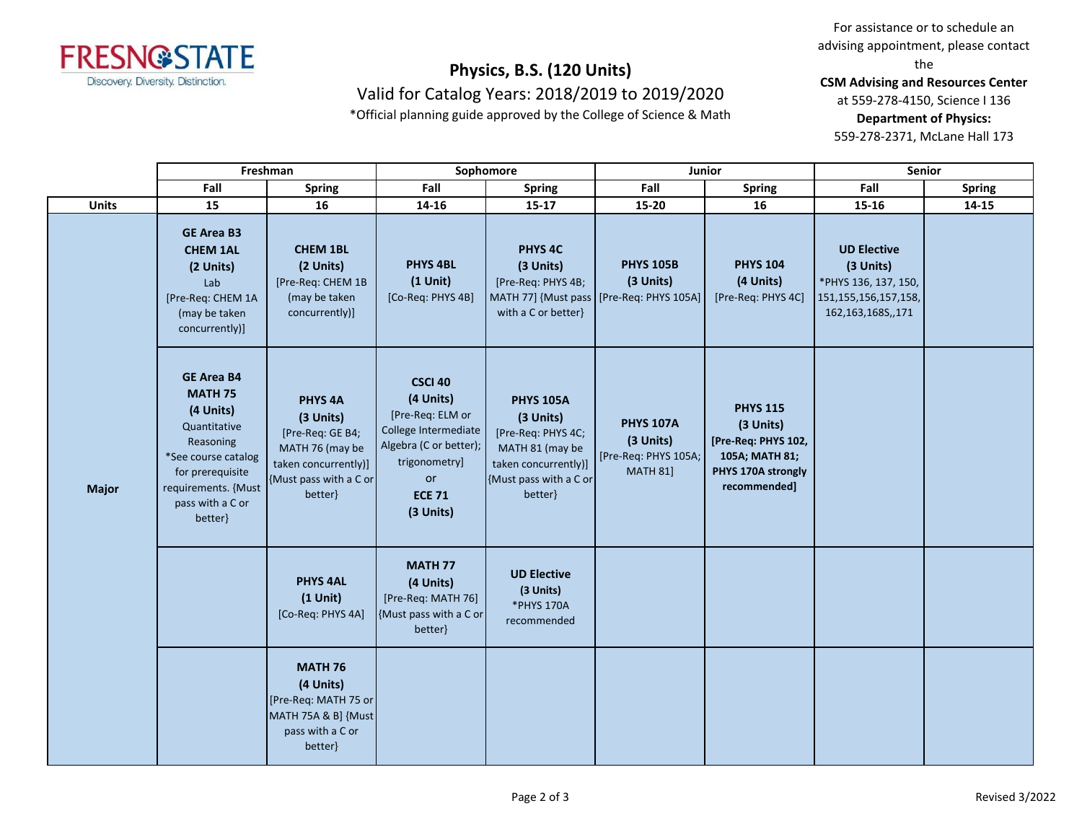

Valid for Catalog Years: 2018/2019 to 2019/2020

\*Official planning guide approved by the College of Science & Math

For assistance or to schedule an advising appointment, please contact the

**CSM Advising and Resources Center**

at 559-278-4150, Science I 136

**Department of Physics:**

559-278-2371, McLane Hall 173

|              | Freshman                                                                                                                                                                       |                                                                                                                                     | Sophomore                                                                                                                                                     |                                                                                                                                     | Junior                                                                   |                                                                                                             | Senior                                                                                                       |               |  |
|--------------|--------------------------------------------------------------------------------------------------------------------------------------------------------------------------------|-------------------------------------------------------------------------------------------------------------------------------------|---------------------------------------------------------------------------------------------------------------------------------------------------------------|-------------------------------------------------------------------------------------------------------------------------------------|--------------------------------------------------------------------------|-------------------------------------------------------------------------------------------------------------|--------------------------------------------------------------------------------------------------------------|---------------|--|
|              | Fall                                                                                                                                                                           | <b>Spring</b>                                                                                                                       | Fall                                                                                                                                                          | <b>Spring</b>                                                                                                                       | Fall                                                                     | <b>Spring</b>                                                                                               | Fall                                                                                                         | <b>Spring</b> |  |
| <b>Units</b> | 15                                                                                                                                                                             | 16                                                                                                                                  | 14-16                                                                                                                                                         | $15 - 17$                                                                                                                           | 15-20                                                                    | 16                                                                                                          | 15-16                                                                                                        | $14 - 15$     |  |
|              | <b>GE Area B3</b><br><b>CHEM 1AL</b><br>(2 Units)<br>Lab<br>[Pre-Req: CHEM 1A<br>(may be taken<br>concurrently)]                                                               | <b>CHEM 1BL</b><br>(2 Units)<br>[Pre-Req: CHEM 1B<br>(may be taken<br>concurrently)]                                                | <b>PHYS 4BL</b><br>$(1$ Unit)<br>[Co-Req: PHYS 4B]                                                                                                            | PHYS <sub>4C</sub><br>(3 Units)<br>[Pre-Req: PHYS 4B;<br>MATH 77] {Must pass   [Pre-Req: PHYS 105A]<br>with a C or better}          | <b>PHYS 105B</b><br>(3 Units)                                            | <b>PHYS 104</b><br>(4 Units)<br>[Pre-Req: PHYS 4C]                                                          | <b>UD Elective</b><br>(3 Units)<br>*PHYS 136, 137, 150,<br>151, 155, 156, 157, 158,<br>162, 163, 1685, , 171 |               |  |
| <b>Major</b> | <b>GE Area B4</b><br><b>MATH 75</b><br>(4 Units)<br>Quantitative<br>Reasoning<br>*See course catalog<br>for prerequisite<br>requirements. {Must<br>pass with a C or<br>better} | PHYS <sub>4A</sub><br>(3 Units)<br>[Pre-Req: GE B4;<br>MATH 76 (may be<br>taken concurrently)]<br>{Must pass with a C or<br>better} | <b>CSCI 40</b><br>(4 Units)<br>[Pre-Req: ELM or<br>College Intermediate<br>Algebra (C or better);<br>trigonometry]<br><b>or</b><br><b>ECE 71</b><br>(3 Units) | <b>PHYS 105A</b><br>(3 Units)<br>[Pre-Req: PHYS 4C;<br>MATH 81 (may be<br>taken concurrently)]<br>{Must pass with a C or<br>better} | <b>PHYS 107A</b><br>(3 Units)<br>[Pre-Req: PHYS 105A;<br><b>MATH 81]</b> | <b>PHYS 115</b><br>(3 Units)<br>[Pre-Req: PHYS 102,<br>105A; MATH 81;<br>PHYS 170A strongly<br>recommended] |                                                                                                              |               |  |
|              |                                                                                                                                                                                | <b>PHYS 4AL</b><br>$(1$ Unit)<br>[Co-Req: PHYS 4A]                                                                                  | <b>MATH 77</b><br>(4 Units)<br>[Pre-Req: MATH 76]<br>{Must pass with a C or<br>better}                                                                        | <b>UD Elective</b><br>(3 Units)<br>*PHYS 170A<br>recommended                                                                        |                                                                          |                                                                                                             |                                                                                                              |               |  |
|              |                                                                                                                                                                                | <b>MATH 76</b><br>(4 Units)<br>[Pre-Req: MATH 75 or<br>MATH 75A & B] {Must<br>pass with a C or<br>better}                           |                                                                                                                                                               |                                                                                                                                     |                                                                          |                                                                                                             |                                                                                                              |               |  |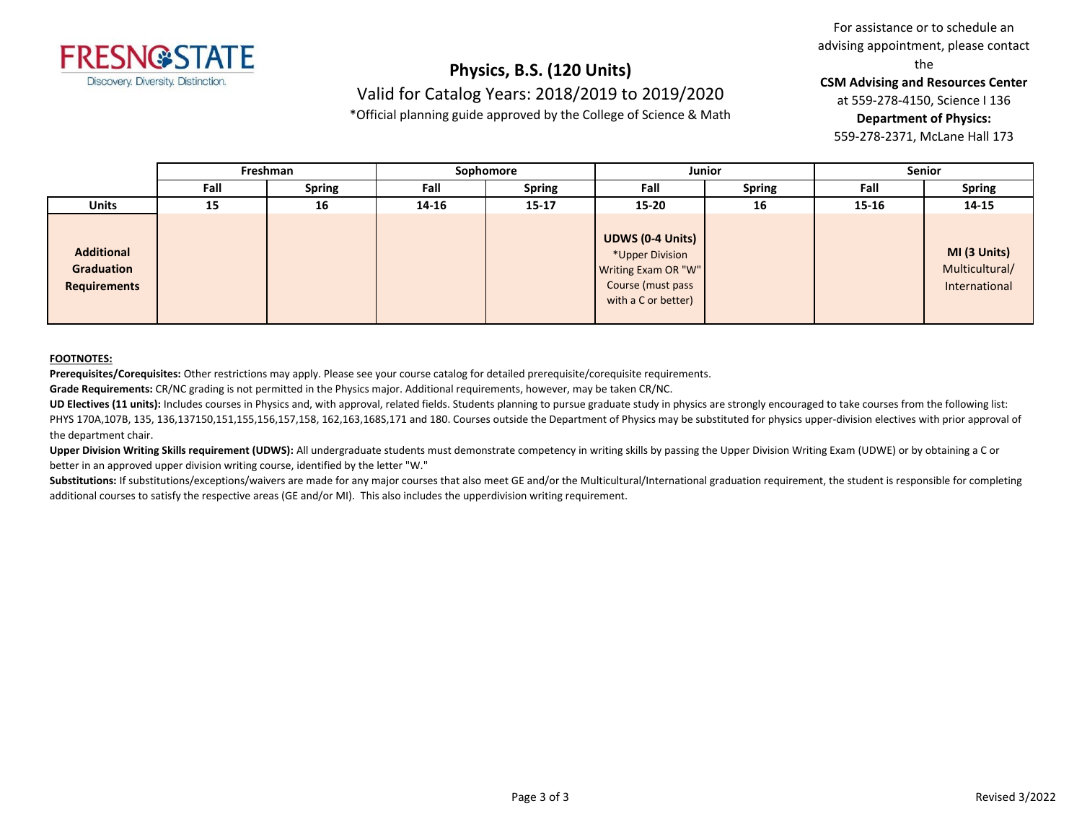

### **Physics, B.S. (120 Units)** Valid for Catalog Years: 2018/2019 to 2019/2020

\*Official planning guide approved by the College of Science & Math

For assistance or to schedule an advising appointment, please contact the

**CSM Advising and Resources Center**

at 559-278-4150, Science I 136

**Department of Physics:**

559-278-2371, McLane Hall 173

|                                                        | Freshman |               | Sophomore |               | <b>Junior</b>                                                                                                 |               | <b>Senior</b> |                                                 |
|--------------------------------------------------------|----------|---------------|-----------|---------------|---------------------------------------------------------------------------------------------------------------|---------------|---------------|-------------------------------------------------|
|                                                        | Fall     | <b>Spring</b> | Fall      | <b>Spring</b> | Fall                                                                                                          | <b>Spring</b> | Fall          | <b>Spring</b>                                   |
| <b>Units</b>                                           | 15       | 16            | 14-16     | $15 - 17$     | $15 - 20$                                                                                                     | 16            | 15-16         | 14-15                                           |
| <b>Additional</b><br>Graduation<br><b>Requirements</b> |          |               |           |               | <b>UDWS (0-4 Units)</b><br>*Upper Division<br>Writing Exam OR "W"<br>Course (must pass<br>with a C or better) |               |               | MI (3 Units)<br>Multicultural/<br>International |

#### **FOOTNOTES:**

**Prerequisites/Corequisites:** Other restrictions may apply. Please see your course catalog for detailed prerequisite/corequisite requirements.

**Grade Requirements:** CR/NC grading is not permitted in the Physics major. Additional requirements, however, may be taken CR/NC.

UD Electives (11 units): Includes courses in Physics and, with approval, related fields. Students planning to pursue graduate study in physics are strongly encouraged to take courses from the following list: PHYS 170A,107B, 135, 136,137150,151,155,156,157,158, 162,163,168S,171 and 180. Courses outside the Department of Physics may be substituted for physics upper-division electives with prior approval of the department chair.

Upper Division Writing Skills requirement (UDWS): All undergraduate students must demonstrate competency in writing skills by passing the Upper Division Writing Exam (UDWE) or by obtaining a C or better in an approved upper division writing course, identified by the letter "W."

Substitutions: If substitutions/exceptions/waivers are made for any major courses that also meet GE and/or the Multicultural/International graduation requirement, the student is responsible for completing additional courses to satisfy the respective areas (GE and/or MI). This also includes the upperdivision writing requirement.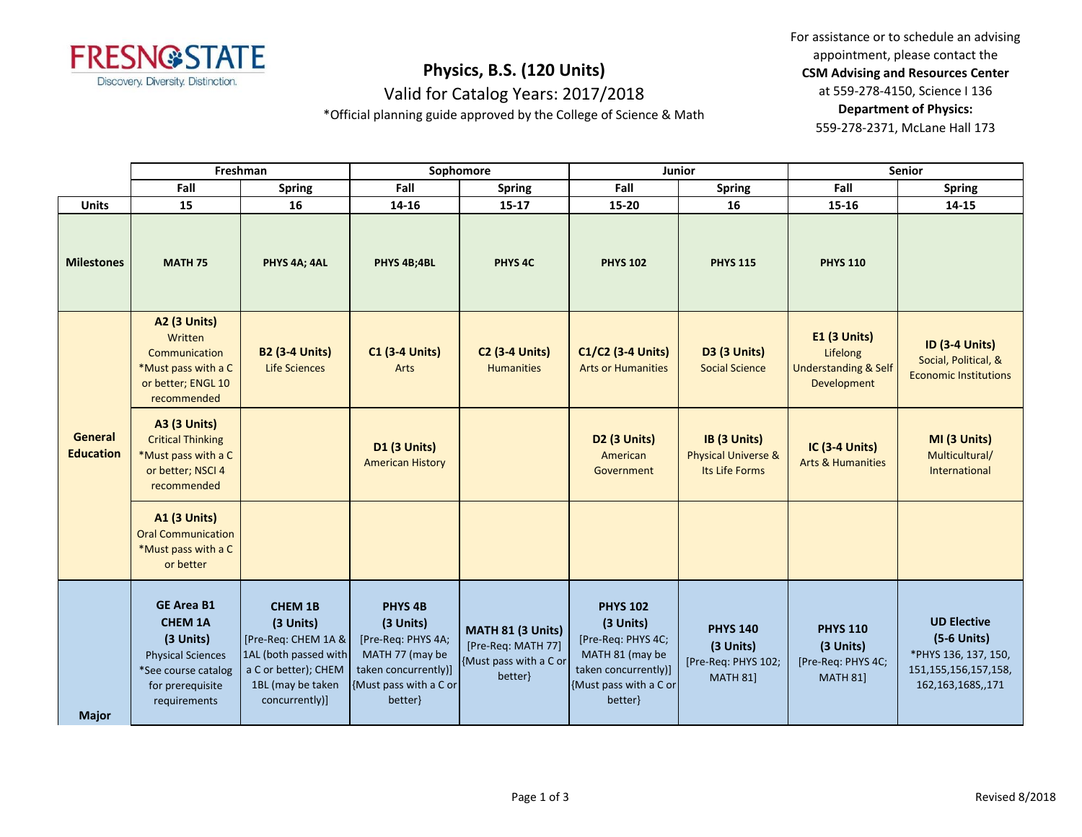

Valid for Catalog Years: 2017/2018

\*Official planning guide approved by the College of Science & Math

For assistance or to schedule an advising appointment, please contact the **CSM Advising and Resources Center** at 559-278-4150, Science I 136 **Department of Physics:** 559-278-2371, McLane Hall 173

|                             |                                                                                                                                         | Freshman                                                                                                                                   | Sophomore                                                                                                                             |                                                                              | Junior                                                                                                                             |                                                                        | <b>Senior</b>                                                                     |                                                                                                              |
|-----------------------------|-----------------------------------------------------------------------------------------------------------------------------------------|--------------------------------------------------------------------------------------------------------------------------------------------|---------------------------------------------------------------------------------------------------------------------------------------|------------------------------------------------------------------------------|------------------------------------------------------------------------------------------------------------------------------------|------------------------------------------------------------------------|-----------------------------------------------------------------------------------|--------------------------------------------------------------------------------------------------------------|
|                             | Fall                                                                                                                                    | <b>Spring</b>                                                                                                                              | Fall                                                                                                                                  | <b>Spring</b>                                                                | Fall                                                                                                                               | <b>Spring</b>                                                          | Fall                                                                              | <b>Spring</b>                                                                                                |
| <b>Units</b>                | 15                                                                                                                                      | 16                                                                                                                                         | 14-16                                                                                                                                 | $15 - 17$                                                                    | 15-20                                                                                                                              | 16                                                                     | 15-16                                                                             | 14-15                                                                                                        |
| <b>Milestones</b>           | <b>MATH 75</b>                                                                                                                          | PHYS 4A; 4AL                                                                                                                               | PHYS 4B;4BL                                                                                                                           | PHYS <sub>4C</sub>                                                           | <b>PHYS 102</b>                                                                                                                    | <b>PHYS 115</b>                                                        | <b>PHYS 110</b>                                                                   |                                                                                                              |
| General<br><b>Education</b> | <b>A2 (3 Units)</b><br>Written<br>Communication<br>*Must pass with a C<br>or better; ENGL 10<br>recommended                             | <b>B2 (3-4 Units)</b><br><b>Life Sciences</b>                                                                                              | <b>C1 (3-4 Units)</b><br>Arts                                                                                                         | <b>C2 (3-4 Units)</b><br><b>Humanities</b>                                   | C1/C2 (3-4 Units)<br><b>Arts or Humanities</b>                                                                                     | <b>D3 (3 Units)</b><br><b>Social Science</b>                           | <b>E1 (3 Units)</b><br>Lifelong<br><b>Understanding &amp; Self</b><br>Development | <b>ID (3-4 Units)</b><br>Social, Political, &<br><b>Economic Institutions</b>                                |
|                             | <b>A3 (3 Units)</b><br><b>Critical Thinking</b><br>*Must pass with a C<br>or better; NSCI 4<br>recommended                              |                                                                                                                                            | D1 (3 Units)<br><b>American History</b>                                                                                               |                                                                              | <b>D2 (3 Units)</b><br>American<br>Government                                                                                      | IB (3 Units)<br><b>Physical Universe &amp;</b><br>Its Life Forms       | <b>IC (3-4 Units)</b><br><b>Arts &amp; Humanities</b>                             | MI (3 Units)<br>Multicultural/<br>International                                                              |
|                             | <b>A1 (3 Units)</b><br><b>Oral Communication</b><br>*Must pass with a C<br>or better                                                    |                                                                                                                                            |                                                                                                                                       |                                                                              |                                                                                                                                    |                                                                        |                                                                                   |                                                                                                              |
| <b>Major</b>                | <b>GE Area B1</b><br><b>CHEM 1A</b><br>(3 Units)<br><b>Physical Sciences</b><br>*See course catalog<br>for prerequisite<br>requirements | <b>CHEM 1B</b><br>(3 Units)<br>[Pre-Req: CHEM 1A &<br>1AL (both passed with<br>a C or better); CHEM<br>1BL (may be taken<br>concurrently)] | PHYS <sub>4B</sub><br>(3 Units)<br>[Pre-Req: PHYS 4A;<br>MATH 77 (may be<br>taken concurrently)]<br>{Must pass with a C or<br>better} | MATH 81 (3 Units)<br>[Pre-Req: MATH 77]<br>{Must pass with a C or<br>better} | <b>PHYS 102</b><br>(3 Units)<br>[Pre-Req: PHYS 4C;<br>MATH 81 (may be<br>taken concurrently)]<br>{Must pass with a C or<br>better} | <b>PHYS 140</b><br>(3 Units)<br>[Pre-Req: PHYS 102;<br><b>MATH 81]</b> | <b>PHYS 110</b><br>(3 Units)<br>[Pre-Req: PHYS 4C;<br><b>MATH 81]</b>             | <b>UD Elective</b><br>$(5-6$ Units)<br>*PHYS 136, 137, 150,<br>151, 155, 156, 157, 158,<br>162,163,168S,,171 |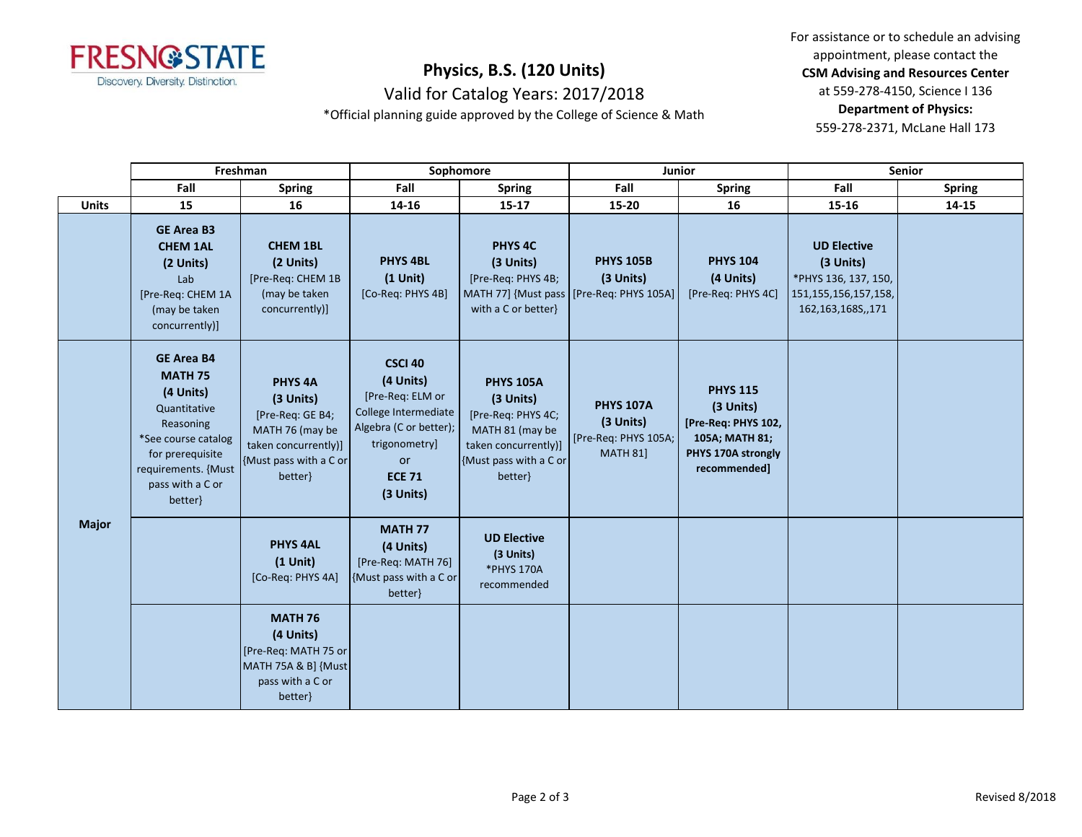

Valid for Catalog Years: 2017/2018

\*Official planning guide approved by the College of Science & Math

For assistance or to schedule an advising appointment, please contact the **CSM Advising and Resources Center** at 559-278-4150, Science I 136 **Department of Physics:** 559-278-2371, McLane Hall 173

|              |                                                                                                                                                                                | Freshman                                                                                                                            |                                                                                                                                                               | Sophomore                                                                                                                           |                                                                             | Junior                                                                                                      |                                                                                                          | Senior        |  |
|--------------|--------------------------------------------------------------------------------------------------------------------------------------------------------------------------------|-------------------------------------------------------------------------------------------------------------------------------------|---------------------------------------------------------------------------------------------------------------------------------------------------------------|-------------------------------------------------------------------------------------------------------------------------------------|-----------------------------------------------------------------------------|-------------------------------------------------------------------------------------------------------------|----------------------------------------------------------------------------------------------------------|---------------|--|
|              | Fall                                                                                                                                                                           | <b>Spring</b>                                                                                                                       | Fall                                                                                                                                                          | <b>Spring</b>                                                                                                                       | Fall                                                                        | <b>Spring</b>                                                                                               | Fall                                                                                                     | <b>Spring</b> |  |
| <b>Units</b> | 15                                                                                                                                                                             | 16                                                                                                                                  | 14-16                                                                                                                                                         | $15 - 17$                                                                                                                           | 15-20                                                                       | 16                                                                                                          | 15-16                                                                                                    | 14-15         |  |
|              | <b>GE Area B3</b><br><b>CHEM 1AL</b><br>(2 Units)<br>Lab<br>[Pre-Req: CHEM 1A<br>(may be taken<br>concurrently)]                                                               | <b>CHEM 1BL</b><br>(2 Units)<br>[Pre-Req: CHEM 1B<br>(may be taken<br>concurrently)]                                                | PHYS <sub>4BL</sub><br>$(1$ Unit)<br>[Co-Req: PHYS 4B]                                                                                                        | PHYS <sub>4C</sub><br>(3 Units)<br>[Pre-Req: PHYS 4B;<br>with a C or better}                                                        | <b>PHYS 105B</b><br>(3 Units)<br>MATH 77] {Must pass   [Pre-Req: PHYS 105A] | <b>PHYS 104</b><br>(4 Units)<br>[Pre-Req: PHYS 4C]                                                          | <b>UD Elective</b><br>(3 Units)<br>*PHYS 136, 137, 150,<br>151, 155, 156, 157, 158,<br>162,163,168S,,171 |               |  |
| <b>Major</b> | <b>GE Area B4</b><br><b>MATH 75</b><br>(4 Units)<br>Quantitative<br>Reasoning<br>*See course catalog<br>for prerequisite<br>requirements. {Must<br>pass with a C or<br>better} | PHYS <sub>4A</sub><br>(3 Units)<br>[Pre-Req: GE B4;<br>MATH 76 (may be<br>taken concurrently)]<br>{Must pass with a C or<br>better} | <b>CSCI 40</b><br>(4 Units)<br>[Pre-Req: ELM or<br>College Intermediate<br>Algebra (C or better);<br>trigonometry]<br><b>or</b><br><b>ECE 71</b><br>(3 Units) | <b>PHYS 105A</b><br>(3 Units)<br>[Pre-Req: PHYS 4C;<br>MATH 81 (may be<br>taken concurrently)]<br>{Must pass with a C or<br>better} | <b>PHYS 107A</b><br>(3 Units)<br>[Pre-Req: PHYS 105A;<br><b>MATH 81]</b>    | <b>PHYS 115</b><br>(3 Units)<br>[Pre-Req: PHYS 102,<br>105A; MATH 81;<br>PHYS 170A strongly<br>recommended] |                                                                                                          |               |  |
|              |                                                                                                                                                                                | <b>PHYS 4AL</b><br>$(1$ Unit)<br>[Co-Req: PHYS 4A]                                                                                  | <b>MATH 77</b><br>(4 Units)<br>[Pre-Req: MATH 76]<br>{Must pass with a C or<br>better}                                                                        | <b>UD Elective</b><br>(3 Units)<br>*PHYS 170A<br>recommended                                                                        |                                                                             |                                                                                                             |                                                                                                          |               |  |
|              |                                                                                                                                                                                | <b>MATH 76</b><br>(4 Units)<br>[Pre-Req: MATH 75 or<br>MATH 75A & B] {Must<br>pass with a C or<br>better}                           |                                                                                                                                                               |                                                                                                                                     |                                                                             |                                                                                                             |                                                                                                          |               |  |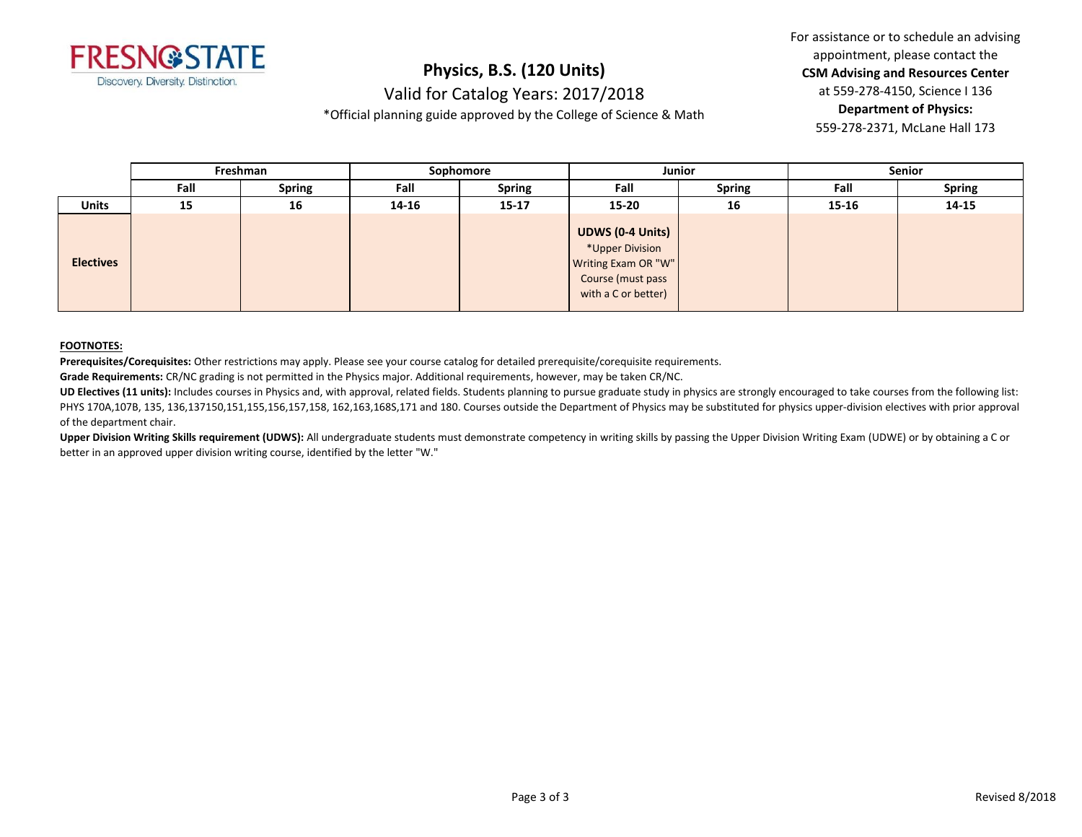

Valid for Catalog Years: 2017/2018

\*Official planning guide approved by the College of Science & Math

For assistance or to schedule an advising appointment, please contact the **CSM Advising and Resources Center** at 559-278-4150, Science I 136 **Department of Physics:** 559-278-2371, McLane Hall 173

|                  | Freshman |               | Sophomore |               | <b>Junior</b>                                                                                                 |               | Senior |               |
|------------------|----------|---------------|-----------|---------------|---------------------------------------------------------------------------------------------------------------|---------------|--------|---------------|
|                  | Fall     | <b>Spring</b> | Fall      | <b>Spring</b> | Fall                                                                                                          | <b>Spring</b> | Fall   | <b>Spring</b> |
| <b>Units</b>     | 15       | 16            | 14-16     | $15 - 17$     | 15-20                                                                                                         | 16            | 15-16  | 14-15         |
| <b>Electives</b> |          |               |           |               | <b>UDWS (0-4 Units)</b><br>*Upper Division<br>Writing Exam OR "W"<br>Course (must pass<br>with a C or better) |               |        |               |

### **FOOTNOTES:**

**Prerequisites/Corequisites:** Other restrictions may apply. Please see your course catalog for detailed prerequisite/corequisite requirements.

**Grade Requirements:** CR/NC grading is not permitted in the Physics major. Additional requirements, however, may be taken CR/NC.

UD Electives (11 units): Includes courses in Physics and, with approval, related fields. Students planning to pursue graduate study in physics are strongly encouraged to take courses from the following list: PHYS 170A,107B, 135, 136,137150,151,155,156,157,158, 162,163,168S,171 and 180. Courses outside the Department of Physics may be substituted for physics upper-division electives with prior approval of the department chair.

**Upper Division Writing Skills requirement (UDWS):** All undergraduate students must demonstrate competency in writing skills by passing the Upper Division Writing Exam (UDWE) or by obtaining a C or better in an approved upper division writing course, identified by the letter "W."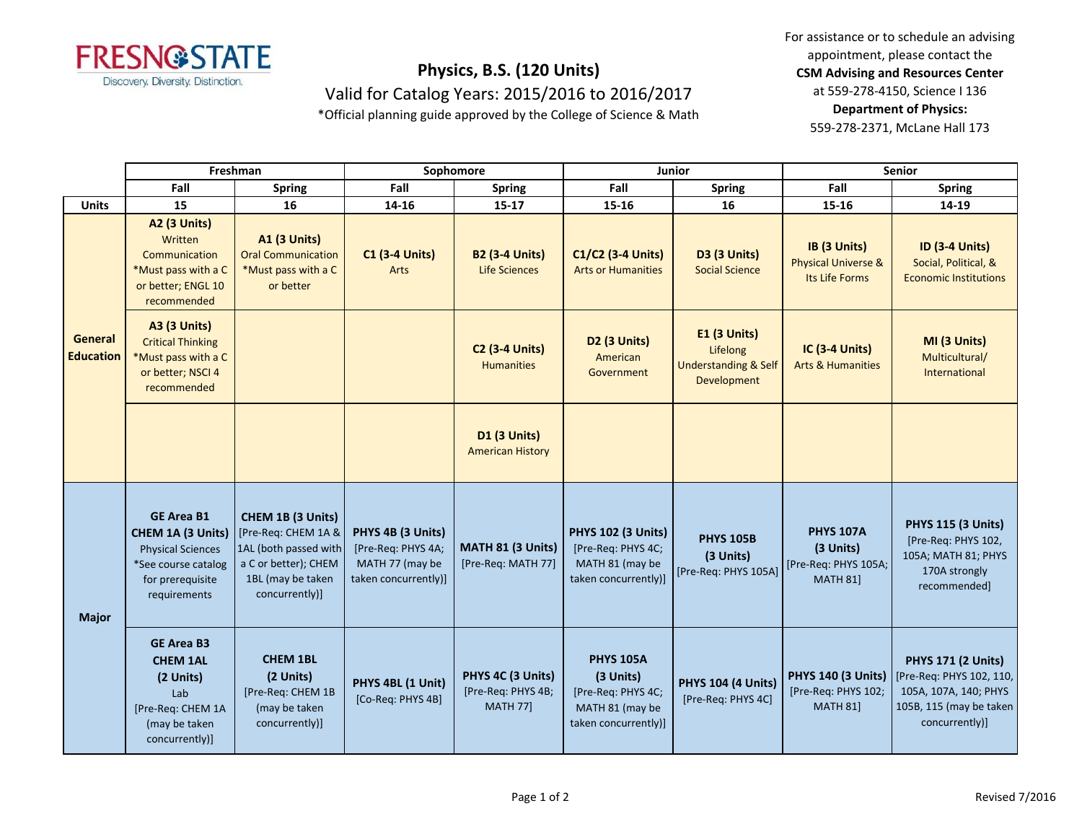

## **Physics, B.S. (120 Units)** Valid for Catalog Years: 2015/2016 to 2016/2017

appointment, please contact the **CSM Advising and Resources Center** at 559-278-4150, Science I 136 **Department of Physics:**

For assistance or to schedule an advising

559-278-2371, McLane Hall 173

\*Official planning guide approved by the College of Science & Math

|                                    |                                                                                                                               | Freshman                                                                                                                         | Sophomore                                                                          |                                                            | Junior                                                                                         |                                                                            | <b>Senior</b>                                                            |                                                                                                                             |
|------------------------------------|-------------------------------------------------------------------------------------------------------------------------------|----------------------------------------------------------------------------------------------------------------------------------|------------------------------------------------------------------------------------|------------------------------------------------------------|------------------------------------------------------------------------------------------------|----------------------------------------------------------------------------|--------------------------------------------------------------------------|-----------------------------------------------------------------------------------------------------------------------------|
|                                    | Fall                                                                                                                          | <b>Spring</b>                                                                                                                    | Fall                                                                               | <b>Spring</b>                                              | Fall                                                                                           | <b>Spring</b>                                                              | Fall                                                                     | <b>Spring</b>                                                                                                               |
| <b>Units</b>                       | 15                                                                                                                            | 16                                                                                                                               | 14-16                                                                              | $15 - 17$                                                  | 15-16                                                                                          | 16                                                                         | 15-16                                                                    | 14-19                                                                                                                       |
| <b>General</b><br><b>Education</b> | <b>A2 (3 Units)</b><br>Written<br>Communication<br>*Must pass with a C<br>or better; ENGL 10<br>recommended                   | <b>A1 (3 Units)</b><br><b>Oral Communication</b><br>*Must pass with a C<br>or better                                             | <b>C1 (3-4 Units)</b><br>Arts                                                      | <b>B2 (3-4 Units)</b><br>Life Sciences                     | C1/C2 (3-4 Units)<br><b>Arts or Humanities</b>                                                 | D3 (3 Units)<br><b>Social Science</b>                                      | IB (3 Units)<br><b>Physical Universe &amp;</b><br>Its Life Forms         | <b>ID (3-4 Units)</b><br>Social, Political, &<br><b>Economic Institutions</b>                                               |
|                                    | <b>A3 (3 Units)</b><br><b>Critical Thinking</b><br>*Must pass with a C<br>or better; NSCI 4<br>recommended                    |                                                                                                                                  |                                                                                    | <b>C2 (3-4 Units)</b><br><b>Humanities</b>                 | D <sub>2</sub> (3 Units)<br>American<br>Government                                             | E1 (3 Units)<br>Lifelong<br><b>Understanding &amp; Self</b><br>Development | <b>IC (3-4 Units)</b><br><b>Arts &amp; Humanities</b>                    | MI (3 Units)<br>Multicultural/<br>International                                                                             |
|                                    |                                                                                                                               |                                                                                                                                  |                                                                                    | D1 (3 Units)<br><b>American History</b>                    |                                                                                                |                                                                            |                                                                          |                                                                                                                             |
| <b>Major</b>                       | <b>GE Area B1</b><br>CHEM 1A (3 Units)<br><b>Physical Sciences</b><br>*See course catalog<br>for prerequisite<br>requirements | CHEM 1B (3 Units)<br>[Pre-Req: CHEM 1A &<br>1AL (both passed with<br>a C or better); CHEM<br>1BL (may be taken<br>concurrently)] | PHYS 4B (3 Units)<br>[Pre-Req: PHYS 4A;<br>MATH 77 (may be<br>taken concurrently)] | MATH 81 (3 Units)<br>[Pre-Req: MATH 77]                    | <b>PHYS 102 (3 Units)</b><br>[Pre-Req: PHYS 4C;<br>MATH 81 (may be<br>taken concurrently)]     | <b>PHYS 105B</b><br>(3 Units)<br>[Pre-Req: PHYS 105A]                      | <b>PHYS 107A</b><br>(3 Units)<br>[Pre-Req: PHYS 105A;<br><b>MATH 811</b> | <b>PHYS 115 (3 Units)</b><br>[Pre-Req: PHYS 102,<br>105A; MATH 81; PHYS<br>170A strongly<br>recommended]                    |
|                                    | <b>GE Area B3</b><br><b>CHEM 1AL</b><br>(2 Units)<br>Lab<br>[Pre-Req: CHEM 1A<br>(may be taken<br>concurrently)]              | <b>CHEM 1BL</b><br>(2 Units)<br>[Pre-Req: CHEM 1B<br>(may be taken<br>concurrently)]                                             | PHYS 4BL (1 Unit)<br>[Co-Req: PHYS 4B]                                             | PHYS 4C (3 Units)<br>[Pre-Req: PHYS 4B;<br><b>MATH 77]</b> | <b>PHYS 105A</b><br>(3 Units)<br>[Pre-Req: PHYS 4C;<br>MATH 81 (may be<br>taken concurrently)] | <b>PHYS 104 (4 Units)</b><br>[Pre-Req: PHYS 4C]                            | <b>PHYS 140 (3 Units)</b><br>[Pre-Req: PHYS 102;<br><b>MATH 81]</b>      | <b>PHYS 171 (2 Units)</b><br>[Pre-Req: PHYS 102, 110,<br>105A, 107A, 140; PHYS<br>105B, 115 (may be taken<br>concurrently)] |